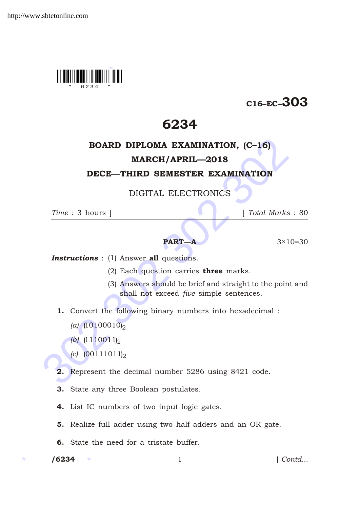

# C16–EC–303

# 6234

# **BOARD DIPLOMA EXAMINATION, (C-16)**<br> **MARCH/APRIL—2018**<br> **DECE—THIRD SEMESTER EXAMINATION**<br>
DIGITAL ELECTRONICS<br>  $Time: 3 \text{ hours }$ <br> **PART—A**<br> **PART—A**<br>
3×10=<br> **Instructions**: (1) Answer all questions.<br>
(2) Each question carries BOARD DIPLOMA EXAMINATION, (C–16) MARCH/APRIL—2018

## DECE—THIRD SEMESTER EXAMINATION

DIGITAL ELECTRONICS

*Time* : 3 hours ] [ *Total Marks* : 80

### **PART—A**  $3 \times 10 = 30$

**Instructions** : (1) Answer all questions.

- (2) Each question carries **three** marks.
- (3) Answers should be brief and straight to the point and shall not exceed *five* simple sentences.
- 1. Convert the following binary numbers into hexadecimal :
	- *(a)*  $(10100010)$ <sub>2</sub>
	- *(b)*  $(1110011)$ <sub>2</sub>
	- *(c)*  $(00111011)$ <sub>2</sub>
- 2. Represent the decimal number 5286 using 8421 code.
- 3. State any three Boolean postulates.
- 4. List IC numbers of two input logic gates.
- 5. Realize full adder using two half adders and an OR gate.
- 6. State the need for a tristate buffer.

 $/ 6234$ 

1 *Contd...*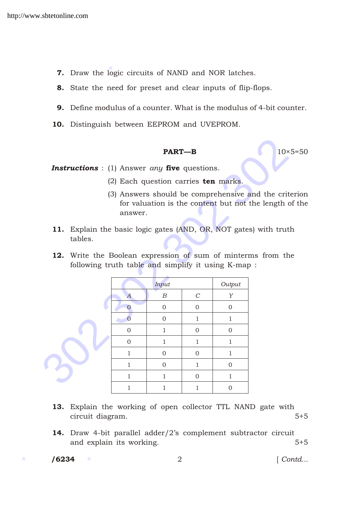- **7.** Draw the logic circuits of NAND and NOR latches.
- 8. State the need for preset and clear inputs of flip-flops.
- 9. Define modulus of a counter. What is the modulus of 4-bit counter.
- 10. Distinguish between EEPROM and UVEPROM.

### **PART—B** 10×5=50

- (2) Each question carries ten marks.
- (3) Answers should be comprehensive and the criterion for valuation is the content but not the length of the answer.
- 11. Explain the basic logic gates (AND, OR, NOT gates) with truth tables.
- 12. Write the Boolean expression of sum of minterms from the following truth table and simplify it using K-map :

|                                                            |                  | <b>PART-B</b>                        |                       |                | $10\times 5=$                                                                                               |  |
|------------------------------------------------------------|------------------|--------------------------------------|-----------------------|----------------|-------------------------------------------------------------------------------------------------------------|--|
| <b>Instructions</b> : (1) Answer any five questions.       |                  |                                      |                       |                |                                                                                                             |  |
|                                                            |                  | (2) Each question carries ten marks. |                       |                |                                                                                                             |  |
|                                                            | answer.          |                                      |                       |                | (3) Answers should be comprehensive and the criteri<br>for valuation is the content but not the length of t |  |
| 11.<br>tables.                                             |                  |                                      |                       |                | Explain the basic logic gates (AND, OR, NOT gates) with truth                                               |  |
| 12.<br>following truth table and simplify it using K-map : |                  |                                      |                       |                | Write the Boolean expression of sum of minterms from the                                                    |  |
|                                                            |                  | Input                                |                       | Output         |                                                                                                             |  |
|                                                            | $\boldsymbol{A}$ | $\boldsymbol{B}$                     | $\mathcal{C}_{0}^{0}$ | Y              |                                                                                                             |  |
|                                                            | $\Omega$         | $\mathbf{0}$                         | $\overline{0}$        | $\overline{0}$ |                                                                                                             |  |
|                                                            | $\Omega$         | $\overline{0}$                       | $\mathbf{1}$          | $\mathbf{1}$   |                                                                                                             |  |
|                                                            | $\Omega$         | $\mathbf{1}$                         | $\Omega$              | $\Omega$       |                                                                                                             |  |
|                                                            | $\mathbf{0}$     | 1                                    | 1                     | 1              |                                                                                                             |  |
|                                                            | 1                | $\overline{0}$                       | $\overline{0}$        | 1              |                                                                                                             |  |
|                                                            | $\mathbf{1}$     | $\overline{0}$                       | 1                     | $\Omega$       |                                                                                                             |  |
|                                                            | $\mathbf{1}$     | $\mathbf{1}$                         | $\overline{0}$        | $\mathbf{1}$   |                                                                                                             |  |
|                                                            | 1                | 1                                    | 1                     | $\overline{0}$ |                                                                                                             |  |

- 13. Explain the working of open collector TTL NAND gate with circuit diagram. 5+5
- 14. Draw 4-bit parallel adder/2's complement subtractor circuit and explain its working.  $5+5$

 $/ 6234$ 

/6234 2 [ *Contd...*